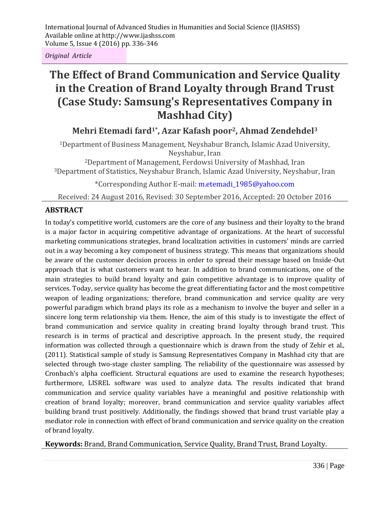*Original Article*

# **The Effect of Brand Communication and Service Quality in the Creation of Brand Loyalty through Brand Trust (Case Study: Samsung's Representatives Company in Mashhad City)**

**Mehri Etemadi fard1\*, Azar Kafash poor2, Ahmad Zendehdel<sup>3</sup>**

<sup>1</sup>Department of Business Management, Neyshabur Branch, Islamic Azad University, Neyshabur, Iran

<sup>2</sup>Department of Management, Ferdowsi University of Mashhad, Iran <sup>3</sup>Department of Statistics, Neyshabur Branch, Islamic Azad University, Neyshabur, Iran

\*Corresponding Author E-mail: m.etemadi\_1985@yahoo.com

Received: 24 August 2016, Revised: 30 September 2016, Accepted: 20 October 2016

#### **ABSTRACT**

In today's competitive world, customers are the core of any business and their loyalty to the brand is a major factor in acquiring competitive advantage of organizations. At the heart of successful marketing communications strategies, brand localization activities in customers' minds are carried out in a way becoming a key component of business strategy. This means that organizations should be aware of the customer decision process in order to spread their message based on Inside*-*Out approach that is what customers want to hear. In addition to brand communications, one of the main strategies to build brand loyalty and gain competitive advantage is to improve quality of services. Today, service quality has become the great differentiating factor and the most competitive weapon of leading organizations; therefore, brand communication and service quality are very powerful paradigm which brand plays its role as a mechanism to involve the buyer and seller in a sincere long term relationship via them. Hence, the aim of this study is to investigate the effect of brand communication and service quality in creating brand loyalty through brand trust. This research is in terms of practical and descriptive approach. In the present study, the required information was collected through a questionnaire which is drawn from the study of Zehir et al., (2011). Statistical sample of study is Samsung Representatives Company in Mashhad city that are selected through two-stage cluster sampling. The reliability of the questionnaire was assessed by Cronbach's alpha coefficient. Structural equations are used to examine the research hypotheses; furthermore, LISREL software was used to analyze data. The results indicated that brand communication and service quality variables have a meaningful and positive relationship with creation of brand loyalty; moreover, brand communication and service quality variables affect building brand trust positively. Additionally, the findings showed that brand trust variable play a mediator role in connection with effect of brand communication and service quality on the creation of brand loyalty.

**Keywords:** Brand, Brand Communication, Service Quality, Brand Trust, Brand Loyalty.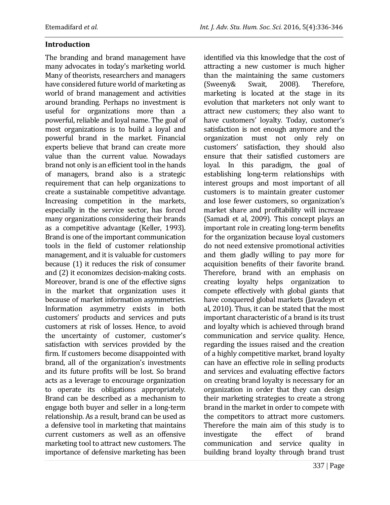#### **Introduction**

The branding and brand management have many advocates in today's marketing world. Many of theorists, researchers and managers have considered future world of marketing as world of brand management and activities around branding. Perhaps no investment is useful for organizations more than a powerful, reliable and loyal name. The goal of most organizations is to build a loyal and powerful brand in the market. Financial experts believe that brand can create more value than the current value. Nowadays brand not only is an efficient tool in the hands of managers, brand also is a strategic requirement that can help organizations to create a sustainable competitive advantage. Increasing competition in the markets, especially in the service sector, has forced many organizations considering their brands as a competitive advantage (Keller, 1993). Brand is one of the important communication tools in the field of customer relationship management, and it is valuable for customers because (1) it reduces the risk of consumer and (2) it economizes decision-making costs. Moreover, brand is one of the effective signs in the market that organization uses it because of market information asymmetries. Information asymmetry exists in both customers' products and services and puts customers at risk of losses. Hence, to avoid the uncertainty of customer, customer's satisfaction with services provided by the firm. If customers become disappointed with brand, all of the organization's investments and its future profits will be lost. So brand acts as a leverage to encourage organization to operate its obligations appropriately. Brand can be described as a mechanism to engage both buyer and seller in a long-term relationship. As a result, brand can be used as a defensive tool in marketing that maintains current customers as well as an offensive marketing tool to attract new customers. The importance of defensive marketing has been identified via this knowledge that the cost of attracting a new customer is much higher than the maintaining the same customers (Sweeny& Swait, 2008). Therefore, marketing is located at the stage in its evolution that marketers not only want to attract new customers; they also want to have customers' loyalty. Today, customer's satisfaction is not enough anymore and the organization must not only rely on customers' satisfaction, they should also ensure that their satisfied customers are loyal. In this paradigm, the goal of establishing long-term relationships with interest groups and most important of all customers is to maintain greater customer and lose fewer customers, so organization's market share and profitability will increase (Samadi et al, 2009). This concept plays an important role in creating long-term benefits for the organization because loyal customers do not need extensive promotional activities and them gladly willing to pay more for acquisition benefits of their favorite brand. Therefore, brand with an emphasis on creating loyalty helps organization to compete effectively with global giants that have conquered global markets (Javadeyn et al, 2010). Thus, it can be stated that the most important characteristic of a brand is its trust and loyalty which is achieved through brand communication and service quality. Hence, regarding the issues raised and the creation of a highly competitive market, brand loyalty can have an effective role in selling products and services and evaluating effective factors on creating brand loyalty is necessary for an organization in order that they can design their marketing strategies to create a strong brand in the market in order to compete with the competitors to attract more customers. Therefore the main aim of this study is to investigate the effect of brand communication and service quality in building brand loyalty through brand trust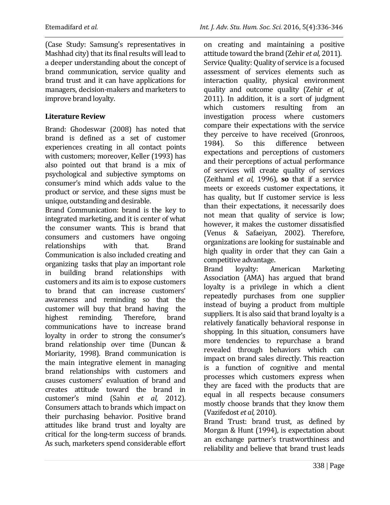(Case Study: Samsung's representatives in Mashhad city) that its final results will lead to a deeper understanding about the concept of brand communication, service quality and brand trust and it can have applications for managers, decision-makers and marketers to improve brand loyalty.

#### **Literature Review**

Brand: Ghodeswar (2008) has noted that brand is defined as a set of customer experiences creating in all contact points with customers; moreover, Keller (1993) has also pointed out that brand is a mix of psychological and subjective symptoms on consumer's mind which adds value to the product or service, and these signs must be unique, outstanding and desirable.

Brand Communication: brand is the key to integrated marketing, and it is center of what the consumer wants. This is brand that consumers and customers have ongoing relationships with that. Brand Communication is also included creating and organizing tasks that play an important role in building brand relationships with customers and its aim is to expose customers to brand that can increase customers' awareness and reminding so that the customer will buy that brand having the highest reminding. Therefore, brand communications have to increase brand loyalty in order to strong the consumer's brand relationship over time (Duncan & Moriarity, 1998). Brand communication is the main integrative element in managing brand relationships with customers and causes customers' evaluation of brand and creates attitude toward the brand in customer's mind (Sahin *et al,* 2012). Consumers attach to brands which impact on their purchasing behavior. Positive brand attitudes like brand trust and loyalty are critical for the long-term success of brands. As such, marketers spend considerable effort on creating and maintaining a positive attitude toward the brand (Zehir *et al,* 2011). Service Quality: Quality of service is a focused assessment of services elements such as interaction quality, physical environment quality and outcome quality (Zehir *et al*, 2011). In addition, it is a sort of judgment which customers resulting from an investigation process where customers compare their expectations with the service they perceive to have received (Gronroos, 1984). So this difference between expectations and perceptions of customers and their perceptions of actual performance of services will create quality of services (Zeithaml *et al,* 1996), **so** that if a service meets or exceeds customer expectations, it has quality, but If customer service is less than their expectations, it necessarily does not mean that quality of service is low; however, it makes the customer dissatisfied (Venus & Safaeiyan, 2002). Therefore, organizations are looking for sustainable and high quality in order that they can Gain a competitive advantage.

Brand loyalty: American Marketing Association (AMA) has argued that brand loyalty is a privilege in which a client repeatedly purchases from one supplier instead of buying a product from multiple suppliers. It is also said that brand loyalty is a relatively fanatically behavioral response in shopping. In this situation, consumers have more tendencies to repurchase a brand revealed through behaviors which can impact on brand sales directly. This reaction is a function of cognitive and mental processes which customers express when they are faced with the products that are equal in all respects because consumers mostly choose brands that they know them (Vazifedost *et al,* 2010).

Brand Trust: brand trust, as defined by Morgan & Hunt (1994), is expectation about an exchange partner's trustworthiness and reliability and believe that brand trust leads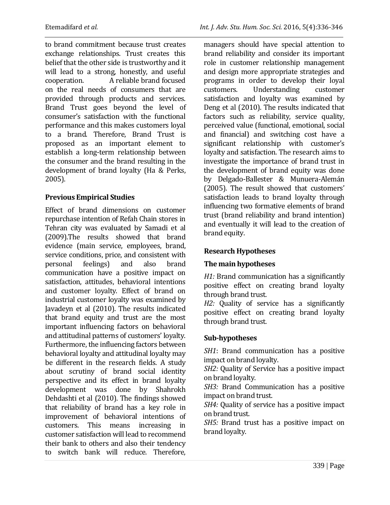to brand commitment because trust creates exchange relationships. Trust creates this belief that the other side is trustworthy and it will lead to a strong, honestly, and useful cooperation. A reliable brand focused on the real needs of consumers that are provided through products and services. Brand Trust goes beyond the level of consumer's satisfaction with the functional performance and this makes customers loyal to a brand. Therefore, Brand Trust is proposed as an important element to establish a long-term relationship between the consumer and the brand resulting in the development of brand loyalty (Ha & Perks, 2005).

## **Previous Empirical Studies**

Effect of brand dimensions on customer repurchase intention of Refah Chain stores in Tehran city was evaluated by Samadi et al (2009).The results showed that brand evidence (main service, employees, brand, service conditions, price, and consistent with personal feelings) and also brand communication have a positive impact on satisfaction, attitudes, behavioral intentions and customer loyalty. Effect of brand on industrial customer loyalty was examined by Javadeyn et al (2010). The results indicated that brand equity and trust are the most important influencing factors on behavioral and attitudinal patterns of customers' loyalty. Furthermore, the influencing factors between behavioral loyalty and attitudinal loyalty may be different in the research fields. A study about scrutiny of brand social identity perspective and its effect in brand loyalty development was done by Shahrokh Dehdashti et al (2010). The findings showed that reliability of brand has a key role in improvement of behavioral intentions of customers. This means increasing in customer satisfaction will lead to recommend their bank to others and also their tendency to switch bank will reduce. Therefore, managers should have special attention to brand reliability and consider its important role in customer relationship management and design more appropriate strategies and programs in order to develop their loyal customers. Understanding customer satisfaction and loyalty was examined by Deng et al (2010). The results indicated that factors such as reliability, service quality, perceived value (functional, emotional, social and financial) and switching cost have a significant relationship with customer's loyalty and satisfaction. The research aims to investigate the importance of brand trust in the development of brand equity was done by Delgado-Ballester & Munuera-Alemán (2005). The result showed that customers' satisfaction leads to brand loyalty through influencing two formative elements of brand trust (brand reliability and brand intention) and eventually it will lead to the creation of brand equity.

## **Research Hypotheses**

## **The main hypotheses**

*H1:* Brand communication has a significantly positive effect on creating brand loyalty through brand trust.

*H2:* Quality of service has a significantly positive effect on creating brand loyalty through brand trust.

# **Sub-hypotheses**

*SH1*: Brand communication has a positive impact on brand loyalty.

*SH2:* Quality of Service has a positive impact on brand loyalty.

*SH3:* Brand Communication has a positive impact on brand trust.

*SH4:* Quality of service has a positive impact on brand trust.

*SH5:* Brand trust has a positive impact on brand loyalty.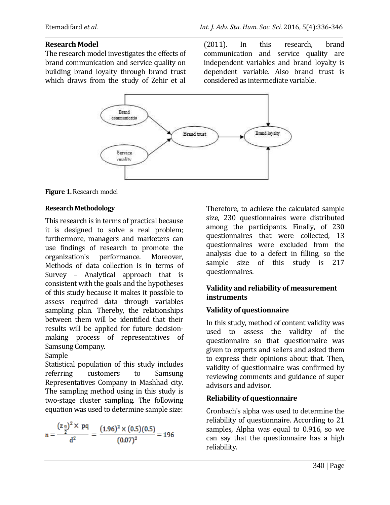#### **Research Model**

The research model investigates the effects of brand communication and service quality on building brand loyalty through brand trust which draws from the study of Zehir et al (2011). In this research, brand communication and service quality are independent variables and brand loyalty is dependent variable. Also brand trust is considered as intermediate variable.



**Figure 1.** Research model

#### **Research Methodology**

This research is in terms of practical because it is designed to solve a real problem; furthermore, managers and marketers can use findings of research to promote the organization's performance. Moreover, Methods of data collection is in terms of Survey – Analytical approach that is consistent with the goals and the hypotheses of this study because it makes it possible to assess required data through variables sampling plan*.* Thereby, the relationships between them will be identified that their results will be applied for future decisionmaking process of representatives of Samsung Company*.*

#### Sample

Statistical population of this study includes referring customers to Samsung Representatives Company in Mashhad city. The sampling method using in this study is two-stage cluster sampling. The following equation was used to determine sample size:

$$
n = \frac{(z \frac{\alpha}{2})^2 \times pq}{d^2} = \frac{(1.96)^2 \times (0.5)(0.5)}{(0.07)^2} = 196
$$

Therefore, to achieve the calculated sample size, 230 questionnaires were distributed among the participants. Finally, of 230 questionnaires that were collected, 13 questionnaires were excluded from the analysis due to a defect in filling, so the sample size of this study is 217 questionnaires.

## **Validity and reliability of measurement instruments**

## **Validity of questionnaire**

In this study, method of content validity was used to assess the validity of the questionnaire so that questionnaire was given to experts and sellers and asked them to express their opinions about that. Then, validity of questionnaire was confirmed by reviewing comments and guidance of super advisors and advisor.

#### **Reliability of questionnaire**

Cronbach's alpha was used to determine the reliability of questionnaire. According to 21 samples, Alpha was equal to 0.916, so we can say that the questionnaire has a high reliability.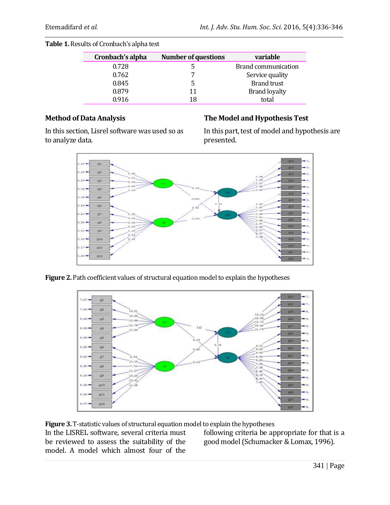| Cronbach's alpha | <b>Number of questions</b> | variable             |
|------------------|----------------------------|----------------------|
| 0.728            |                            | Brand communication  |
| 0.762            | 7                          | Service quality      |
| 0.845            | 5                          | <b>Brand trust</b>   |
| 0.879            | 11                         | <b>Brand loyalty</b> |
| 0.916            | 18                         | total                |

## **Method of Data Analysis**

In this section, Lisrel software was used so as to analyze data.

## **The Model and Hypothesis Test**

In this part, test of model and hypothesis are presented.



Figure 2. Path coefficient values of structural equation model to explain the hypotheses



**Figure 3.** T-statistic values of structural equation model to explain the hypotheses

In the LISREL software, several criteria must be reviewed to assess the suitability of the model. A model which almost four of the

following criteria be appropriate for that is a good model (Schumacker & Lomax, 1996).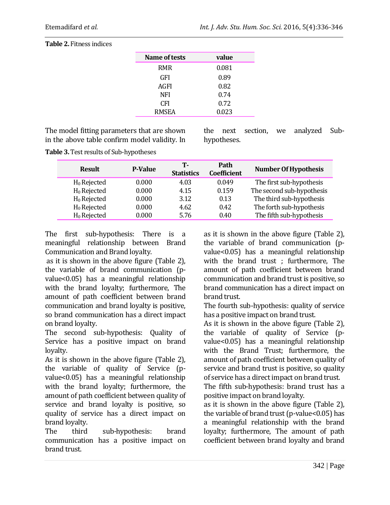| Name of tests | value |
|---------------|-------|
| <b>RMR</b>    | 0.081 |
| <b>GFI</b>    | 0.89  |
| AGFI          | 0.82  |
| <b>NFI</b>    | 0.74  |
| CFI           | 0.72  |
| <b>RMSEA</b>  | 0.023 |
|               |       |

#### **Table 2.** Fitness indices

The model fitting parameters that are shown in the above table confirm model validity. In the next section, we analyzed Subhypotheses.

**Table 3.**Test results of Sub-hypotheses

|       | Т-                                                                                     | Path<br><b>Coefficient</b> | <b>Number Of Hypothesis</b> |
|-------|----------------------------------------------------------------------------------------|----------------------------|-----------------------------|
| 0.000 | 4.03                                                                                   | 0.049                      | The first sub-hypothesis    |
| 0.000 | 4.15                                                                                   | 0.159                      | The second sub-hypothesis   |
| 0.000 | 3.12                                                                                   | 0.13                       | The third sub-hypothesis    |
| 0.000 | 4.62                                                                                   | 0.42                       | The forth sub-hypothesis    |
| 0.000 | 5.76                                                                                   | 0.40                       | The fifth sub-hypothesis    |
|       | $H_0$ Rejected<br>$H_0$ Rejected<br>$H_0$ Rejected<br>$H_0$ Rejected<br>$H_0$ Rejected | <b>P-Value</b>             | <b>Statistics</b>           |

The first sub-hypothesis: There is a meaningful relationship between Brand Communication and Brand loyalty.

as it is shown in the above figure (Table 2), the variable of brand communication (pvalue<0.05) has a meaningful relationship with the brand loyalty; furthermore, The amount of path coefficient between brand communication and brand loyalty is positive, so brand communication has a direct impact on brand loyalty.

The second sub-hypothesis: Quality of Service has a positive impact on brand loyalty.

As it is shown in the above figure (Table 2), the variable of quality of Service (pvalue<0.05) has a meaningful relationship with the brand loyalty; furthermore, the amount of path coefficient between quality of service and brand loyalty is positive, so quality of service has a direct impact on brand loyalty.

The third sub-hypothesis: brand communication has a positive impact on brand trust.

as it is shown in the above figure (Table 2), the variable of brand communication (pvalue<0.05) has a meaningful relationship with the brand trust ; furthermore, The amount of path coefficient between brand communication and brand trust is positive, so brand communication has a direct impact on brand trust.

The fourth sub-hypothesis: quality of service has a positive impact on brand trust.

As it is shown in the above figure (Table 2), the variable of quality of Service (pvalue<0.05) has a meaningful relationship with the Brand Trust; furthermore, the amount of path coefficient between quality of service and brand trust is positive, so quality of service has a direct impact on brand trust.

The fifth sub-hypothesis: brand trust has a positive impact on brand loyalty.

as it is shown in the above figure (Table 2), the variable of brand trust (p-value<0.05) has a meaningful relationship with the brand loyalty; furthermore, The amount of path coefficient between brand loyalty and brand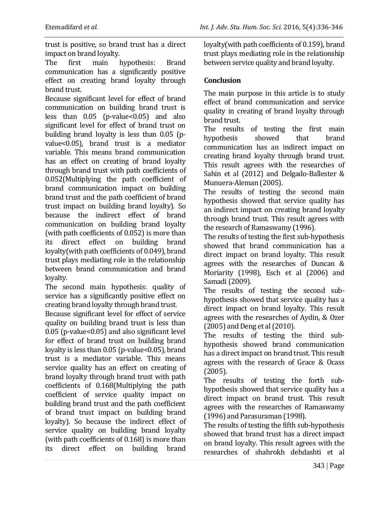trust is positive, so brand trust has a direct impact on brand loyalty.

The first main hypothesis: Brand communication has a significantly positive effect on creating brand loyalty through brand trust.

Because significant level for effect of brand communication on building brand trust is less than  $0.05$  (p-value  $0.05$ ) and also significant level for effect of brand trust on building brand loyalty is less than 0.05 (pvalue<0.05), brand trust is a mediator variable. This means brand communication has an effect on creating of brand loyalty through brand trust with path coefficients of 0.052(Multiplying the path coefficient of brand communication impact on building brand trust and the path coefficient of brand trust impact on building brand loyalty). So because the indirect effect of brand communication on building brand loyalty (with path coefficients of 0.052) is more than its direct effect on building brand loyalty(with path coefficients of 0.049), brand trust plays mediating role in the relationship between brand communication and brand loyalty.

The second main hypothesis: quality of service has a significantly positive effect on creating brand loyalty through brand trust.

Because significant level for effect of service quality on building brand trust is less than 0.05 (p-value<0.05) and also significant level for effect of brand trust on building brand loyalty is less than 0.05 (p-value<0.05), brand trust is a mediator variable. This means service quality has an effect on creating of brand loyalty through brand trust with path coefficients of 0.168(Multiplying the path coefficient of service quality impact on building brand trust and the path coefficient of brand trust impact on building brand loyalty). So because the indirect effect of service quality on building brand loyalty (with path coefficients of 0.168) is more than its direct effect on building brand loyalty(with path coefficients of 0.159), brand trust plays mediating role in the relationship between service quality and brand loyalty.

## **Conclusion**

The main purpose in this article is to study effect of brand communication and service quality in creating of brand loyalty through brand trust.

The results of testing the first main hypothesis showed that brand communication has an indirect impact on creating brand loyalty through brand trust. This result agrees with the researches of Sahin et al (2012) and Delgado-Ballester & Munuera-Aleman (2005).

The results of testing the second main hypothesis showed that service quality has an indirect impact on creating brand loyalty through brand trust. This result agrees with the research of Ramaswamy (1996).

The results of testing the first sub-hypothesis showed that brand communication has a direct impact on brand loyalty. This result agrees with the researches of Duncan & Moriarity (1998), Esch et al (2006) and Samadi (2009).

The results of testing the second subhypothesis showed that service quality has a direct impact on brand loyalty. This result agrees with the researches of Aydin, & Ozer (2005) and Deng et al (2010).

The results of testing the third subhypothesis showed brand communication has a direct impact on brand trust. This result agrees with the research of Grace & Ocass (2005).

The results of testing the forth subhypothesis showed that service quality has a direct impact on brand trust. This result agrees with the researches of Ramaswamy (1996) and Parasuraman (1998).

The results of testing the fifth sub-hypothesis showed that brand trust has a direct impact on brand loyalty. This result agrees with the researches of shahrokh dehdashti et al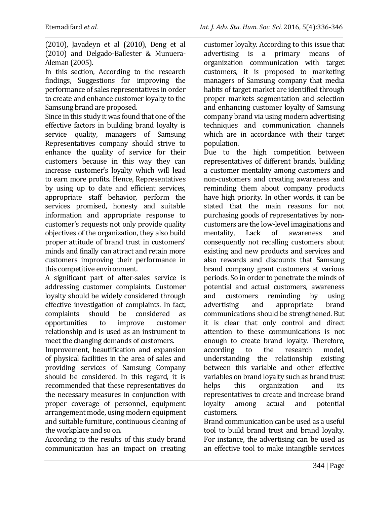(2010), Javadeyn et al (2010), Deng et al (2010) and Delgado-Ballester & Munuera-Aleman (2005).

In this section, According to the research findings, Suggestions for improving the performance of sales representatives in order to create and enhance customer loyalty to the Samsung brand are proposed.

Since in this study it was found that one of the effective factors in building brand loyalty is service quality, managers of Samsung Representatives company should strive to enhance the quality of service for their customers because in this way they can increase customer's loyalty which will lead to earn more profits. Hence, Representatives by using up to date and efficient services, appropriate staff behavior, perform the services promised, honesty and suitable information and appropriate response to customer's requests not only provide quality objectives of the organization, they also build proper attitude of brand trust in customers' minds and finally can attract and retain more customers improving their performance in this competitive environment.

A significant part of after-sales service is addressing customer complaints*.* Customer loyalty should be widely considered through effective investigation of complaints. In fact, complaints should be considered as opportunities to improve customer relationship and is used as an instrument to meet the changing demands of customers.

Improvement, beautification and expansion of physical facilities in the area of sales and providing services of Samsung Company should be considered. In this regard, it is recommended that these representatives do the necessary measures in conjunction with proper coverage of personnel, equipment arrangement mode, using modern equipment and suitable furniture, continuous cleaning of the workplace and so on.

According to the results of this study brand communication has an impact on creating customer loyalty. According to this issue that advertising is a primary means of organization communication with target customers, it is proposed to marketing managers of Samsung company that media habits of target market are identified through proper markets segmentation and selection and enhancing customer loyalty of Samsung company brand via using modern advertising techniques and communication channels which are in accordance with their target population.

Due to the high competition between representatives of different brands, building a customer mentality among customers and non-customers and creating awareness and reminding them about company products have high priority. In other words, it can be stated that the main reasons for not purchasing goods of representatives by noncustomers are the low-level imaginations and mentality, Lack of awareness and consequently not recalling customers about existing and new products and services and also rewards and discounts that Samsung brand company grant customers at various periods. So in order to penetrate the minds of potential and actual customers, awareness and customers reminding by using advertising and appropriate brand communications should be strengthened. But it is clear that only control and direct attention to these communications is not enough to create brand loyalty. Therefore, according to the research model, understanding the relationship existing between this variable and other effective variables on brand loyalty such as brand trust helps this organization and its representatives to create and increase brand loyalty among actual and potential customers.

Brand communication can be used as a useful tool to build brand trust and brand loyalty. For instance, the advertising can be used as an effective tool to make intangible services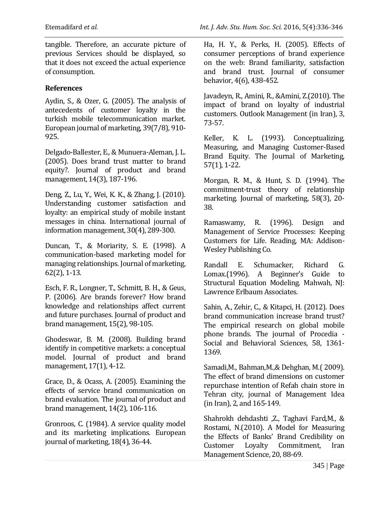tangible. Therefore, an accurate picture of previous Services should be displayed, so that it does not exceed the actual experience of consumption.

#### **References**

Aydin, S., & Ozer, G. (2005). The analysis of antecedents of customer loyalty in the turkish mobile telecommunication market. European journal of marketing, 39(7/8), 910- 925.

Delgado-Ballester, E., & Munuera-Aleman, J. L. (2005). Does brand trust matter to brand equity?. Journal of product and brand management, 14(3), 187-196.

Deng, Z., Lu, Y., Wei, K. K., & Zhang, J. (2010). Understanding customer satisfaction and loyalty: an empirical study of mobile instant messages in china. International journal of information management, 30(4), 289-300.

Duncan, T., & Moriarity, S. E. (1998). A communication-based marketing model for managing relationships. Journal of marketing, 62(2), 1-13.

Esch, F. R., Longner, T., Schmitt, B. H., & Geus, P. (2006). Are brands forever? How brand knowledge and relationships affect current and future purchases. Journal of product and brand management, 15(2), 98-105.

Ghodeswar, B. M. (2008). Building brand identify in competitive markets: a conceptual model. Journal of product and brand management, 17(1), 4-12.

Grace, D., & Ocass, A. (2005). Examining the effects of service brand communication on brand evaluation. The journal of product and brand management, 14(2), 106-116.

Gronroos, C. (1984). A service quality model and its marketing implications. European journal of marketing, 18(4), 36-44.

Ha, H. Y., & Perks, H. (2005). Effects of consumer perceptions of brand experience on the web: Brand familiarity, satisfaction and brand trust. Journal of consumer behavior, 4(6), 438-452.

Javadeyn, R., Amini, R., &Amini, Z.(2010). The impact of brand on loyalty of industrial customers. Outlook Management (in Iran), 3, 73-57.

Keller, K. L. (1993). Conceptualizing, Measuring, and Managing Customer-Based Brand Equity. The Journal of Marketing, 57(1), 1-22.

Morgan, R. M., & Hunt, S. D. (1994). The commitment-trust theory of relationship marketing. Journal of marketing, 58(3), 20- 38.

Ramaswamy, R. (1996). Design and Management of Service Processes: Keeping Customers for Life. Reading, MA: Addison-Wesley Publishing Co.

Randall E. Schumacker, Richard G. Lomax.(1996). A Beginner's Guide to Structural Equation Modeling. Mahwah, NJ: Lawrence Erlbaum Associates.

Sahin, A., Zehir, C., & Kitapci, H. (2012). Does brand communication increase brand trust? The empirical research on global mobile phone brands. The journal of Procedia - Social and Behavioral Sciences, 58, 1361- 1369.

Samadi,M., Bahman,M.,& Dehghan, M.( 2009). The effect of brand dimensions on customer repurchase intention of Refah chain store in Tehran city, journal of Management Idea (in Iran), 2, and 165-149.

Shahrokh dehdashti ,Z., Taghavi Fard,M., & Rostami, N.(2010). A Model for Measuring the Effects of Banks' Brand Credibility on Customer Loyalty Commitment, Iran Management Science, 20, 88-69.